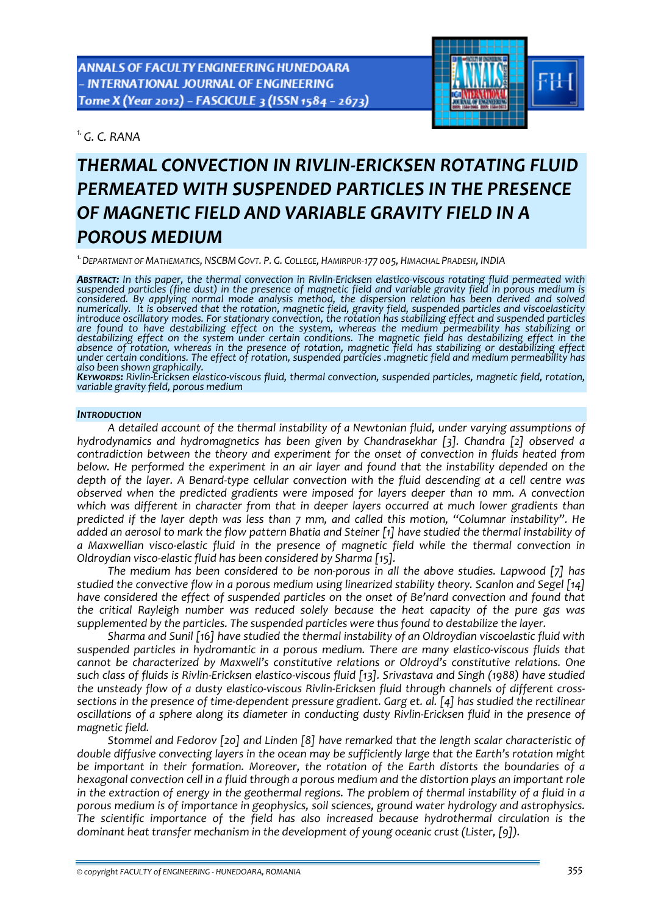*1.G. C. RANA* 



# *THERMAL CONVECTION IN RIVLIN‐ERICKSEN ROTATING FLUID PERMEATED WITH SUSPENDED PARTICLES IN THE PRESENCE OF MAGNETIC FIELD AND VARIABLE GRAVITY FIELD IN A POROUS MEDIUM*

*1.DEPARTMENT OF MATHEMATICS, NSCBM GOVT. P. G. COLLEGE, HAMIRPUR‐177 005, HIMACHAL PRADESH, INDIA*

ABSTRACT: In this paper, the thermal convection in Rivlin-Ericksen elastico-viscous rotating fluid permeated with suspended particles (fine dust) in the presence of magnetic field and variable gravity field in porous medium is *considered. By applying normal mode analysis method, the dispersion relation has been derived and solved* numerically. It is observed that the rotation, magnetic field, gravity field, suspended particles and viscoelasticity<br>introduce oscillatory modes. For stationary convection, the rotation has stabilizing effect and suspend *are found to have destabilizing effect on the system, whereas the medium permeability has stabilizing or destabilizing effect on the system under certain conditions. The magnetic field has destabilizing effect in the* absence of rotation, whereas in the presence of rotation, magnetic field has stabilizing or destabilizing effect<br>under certain conditions. The effect of rotation, suspended particles magnetic field and medium permeability

KEYWORDS: Rivlin-Éricksen elastico-viscous fluid, thermal convection, suspended particles, magnetic field, rotation, *variable gravity field, porous medium*

#### *INTRODUCTION*

*A detailed account of the thermal instability of a Newtonian fluid, under varying assumptions of hydrodynamics and hydromagnetics has been given by Chandrasekhar [3]. Chandra [2] observed a contradiction between the theory and experiment for the onset of convection in fluids heated from below. He performed the experiment in an air layer and found that the instability depended on the* depth of the layer. A Benard-type cellular convection with the fluid descending at a cell centre was *observed when the predicted gradients were imposed for layers deeper than 10 mm. A convection which was different in character from that in deeper layers occurred at much lower gradients than predicted if the layer depth was less than 7 mm, and called this motion, "Columnar instability". He* added an aerosol to mark the flow pattern Bhatia and Steiner [1] have studied the thermal instability of *a Maxwellian visco‐elastic fluid in the presence of magnetic field while the thermal convection in Oldroydian visco‐elastic fluid has been considered by Sharma [15].*

*The medium has been considered to be non‐porous in all the above studies. Lapwood [7] has studied the convective flow in a porous medium using linearized stability theory. Scanlon and Segel [14] have considered the effect of suspended particles on the onset of Be'nard convection and found that the critical Rayleigh number was reduced solely because the heat capacity of the pure gas was supplemented by the particles. The suspended particles were thus found to destabilize the layer.* 

*Sharma and Sunil [16] have studied the thermal instability of an Oldroydian viscoelastic fluid with suspended particles in hydromantic in a porous medium. There are many elastico‐viscous fluids that cannot be characterized by Maxwell's constitutive relations or Oldroyd's constitutive relations. One* such class of fluids is Rivlin-Ericksen elastico-viscous fluid [13]. Srivastava and Singh (1988) have studied the unsteady flow of a dusty elastico-viscous Rivlin-Ericksen fluid through channels of different crosssections in the presence of time-dependent pressure gradient. Garg et. al. [4] has studied the rectilinear oscillations of a sphere along its diameter in conducting dusty Rivlin-Ericksen fluid in the presence of *magnetic field.*

*Stommel and Fedorov [20] and Linden [8] have remarked that the length scalar characteristic of double diffusive convecting layers in the ocean may be sufficiently large that the Earth's rotation might be important in their formation. Moreover, the rotation of the Earth distorts the boundaries of a hexagonal convection cell in a fluid through a porous medium and the distortion plays an important role* in the extraction of energy in the geothermal regions. The problem of thermal instability of a fluid in a *porous medium is of importance in geophysics, soil sciences, ground water hydrology and astrophysics. The scientific importance of the field has also increased because hydrothermal circulation is the dominant heat transfer mechanism in the development of young oceanic crust (Lister, [9]).*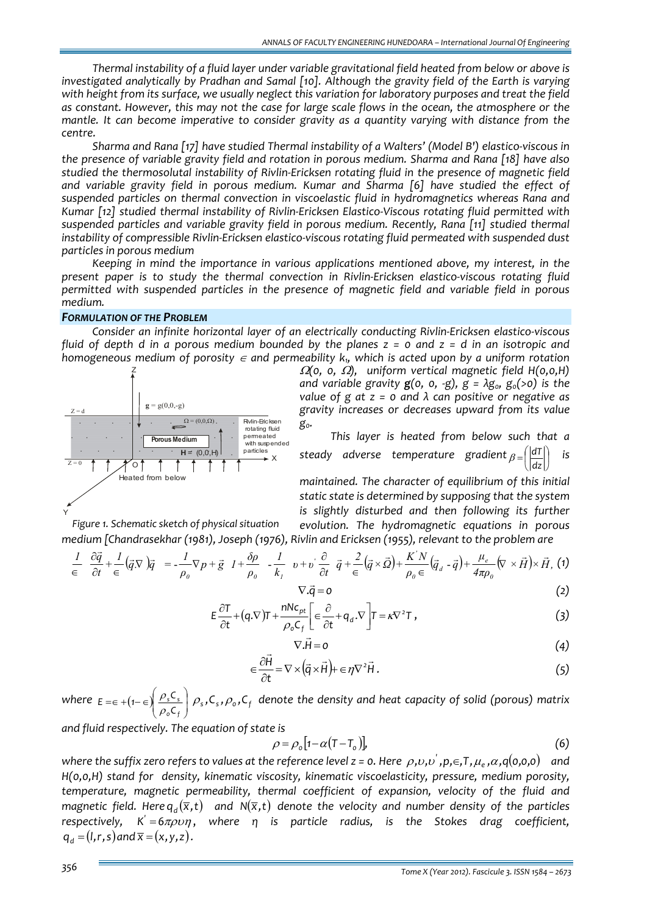*Thermal instability of a fluid layer under variable gravitational field heated from below or above is investigated analytically by Pradhan and Samal [10]. Although the gravity field of the Earth is varying* with height from its surface, we usually neglect this variation for laboratory purposes and treat the field as constant. However, this may not the case for large scale flows in the ocean, the atmosphere or the *mantle. It can become imperative to consider gravity as a quantity varying with distance from the centre.* 

*Sharma and Rana [17] have studied Thermal instability of a Walters' (Model B') elastico‐viscous in the presence of variable gravity field and rotation in porous medium. Sharma and Rana [18] have also studied the thermosolutal instability of Rivlin‐Ericksen rotating fluid in the presence of magnetic field and variable gravity field in porous medium. Kumar and Sharma [6] have studied the effect of suspended particles on thermal convection in viscoelastic fluid in hydromagnetics whereas Rana and Kumar [12] studied thermal instability of Rivlin‐Ericksen Elastico‐Viscous rotating fluid permitted with suspended particles and variable gravity field in porous medium. Recently, Rana [11] studied thermal instability of compressible Rivlin‐Ericksen elastico‐viscous rotating fluid permeated with suspended dust particles in porous medium*

*Keeping in mind the importance in various applications mentioned above, my interest, in the present paper is to study the thermal convection in Rivlin‐Ericksen elastico‐viscous rotating fluid permitted with suspended particles in the presence of magnetic field and variable field in porous medium.*

#### *FORMULATION OF THE PROBLEM*

*Consider an infinite horizontal layer of an electrically conducting Rivlin‐Ericksen elastico‐viscous* fluid of depth d in a porous medium bounded by the planes  $z = 0$  and  $z = d$  in an isotropic and *homogeneous medium* of *porosity*  $\epsilon$  *and permeability*  $k<sub>1</sub>$ , *which is acted upon by a uniform rotation* 



*Figure 1. Schematic sketch of physical situation*

<sup>Ω</sup>*(0, 0,* <sup>Ω</sup>*), uniform vertical magnetic field H(0,0,H) and variable gravity*  $g(0, 0, -g)$ ,  $g = \lambda g_0$ ,  $g_0(>0)$  *is the value of g at z = 0 and λ can positive or negative as gravity increases or decreases upward from its value*  $g_{0}$ .

*This layer is heated from below such that a steady adverse temperature gradient*  $_{\beta=||}^{|a||}$ ⎠  $\left(\left|\frac{dT}{d\tau}\right|\right)$  $\beta = \left(\left|\frac{dT}{dz}\right|\right)$  *is* 

*maintained. The character of equilibrium of this initial static state is determined by supposing that the system is slightly disturbed and then following its further evolution. The hydromagnetic equations in porous medium [Chandrasekhar (1981), Joseph (1976), Rivlin and Ericksen (1955), relevant to the problem are*

 $(\vec{q} \cdot \nabla) \vec{q} = -\frac{1}{\rho_0} \nabla p + \vec{g} \cdot I + \frac{\delta \rho}{\rho_0} - \frac{I}{k_0} \cdot v + v \frac{\partial}{\partial t} \cdot \vec{q} + \frac{2}{\epsilon} (\vec{q} \times \vec{\Omega}) + \frac{K'N}{\rho_0 \epsilon} (\vec{q}_d - \vec{q}) + \frac{\mu_e}{4\pi \rho_0} (\nabla \times \vec{H}) \times \vec{H},$  $\frac{1}{k_1}$  *v* + *v*  $\frac{\partial}{\partial t}$   $\vec{q}$  +  $\frac{2}{\epsilon}$   $(\vec{q} \times \vec{Q}) + \frac{K'N}{\rho_o \epsilon}$ *ρ*  $\frac{1}{\rho_o} \nabla p + \vec{g} \quad l + \frac{\delta \rho}{\rho_o}$  $\frac{1}{q}(\vec{q} \cdot \nabla) \vec{q} = -\frac{1}{q}$ *t 1*  $\partial \vec{q}$ *0*  $\frac{\mu}{\rho}$  *e d d*<sub>*d*</sub> - *d*) +  $\frac{\mu_e}{4\pi\mu}$  $\overrightarrow{O}$   $\neq$   $\overrightarrow{2}$   $\left(\neq$   $\overrightarrow{O}\right)$   $\overrightarrow{K}$ 0  $P_0$   $\mathbf{v}_1$  $\vec{q}$  +  $\vec{l}$  ( $\vec{q}$  )  $\vec{q}$  =  $\vec{l}$  -  $\nabla \vec{r}$  r  $\vec{r}$   $\vec{r}$  +  $\frac{\partial \rho}{\partial t}$  =  $\vec{l}$  +  $\frac{\partial \rho}{\partial t}$  =  $\vec{q}$  +  $\frac{\partial}{\partial t}$  =  $\vec{q}$  +  $\frac{2}{\sigma}$  ( $\vec{q}$   $\times \vec{q}$ ) +  $\frac{\partial}{\partial t}$  =  $\frac{K}{N}$ ( $\vec{q}$  =  $\frac{\partial}{\partial t} \vec{q} + \frac{\pi}{\epsilon} (\vec{q} \times \Omega) + \frac{\pi}{\rho_0 \epsilon} (\vec{q}_d - \vec{q}) + \frac{\pi}{4\pi \rho_0} (\nabla \times H) \times$  $\frac{\partial \vec{q}}{\partial t} + \frac{1}{\epsilon} (\vec{q} \cdot \nabla) \vec{q} = -\frac{I}{\rho_0} \nabla p + \vec{g} \quad I + \frac{\delta \rho}{\rho_0} - \frac{I}{k_1} \quad v + v \frac{\partial}{\partial t}$ ∂ ∈ *(1)*

$$
\nabla \cdot \vec{q} = 0 \tag{2}
$$

$$
E\frac{\partial T}{\partial t} + (q.\nabla)T + \frac{nNc_{pt}}{\rho_o C_f} \left[ \epsilon \frac{\partial}{\partial t} + q_d.\nabla \right] T = \kappa \nabla^2 T,
$$
\n(3)

$$
\nabla \cdot \vec{H} = 0 \tag{4}
$$

$$
\in \frac{\partial \vec{H}}{\partial t} = \nabla \times (\vec{q} \times \vec{H}) + \in \eta \nabla^2 \vec{H}.
$$
 (5)

where  $E = \epsilon + (1 - \epsilon) \frac{\rho_s C_s}{\rho_s C_s}$ ⎠ ⎞  $\mid$ ⎝  $=\in + (1 - \in)$ *0 f s s C*  $E = \epsilon + (1 - \epsilon) \left( \frac{\rho_s C_s}{\rho_o C_f} \right) \rho_s$ ,  $C_s$ ,  $\rho_o$ ,  $C_f$  denote the density and heat capacity of solid (porous) matrix

*and fluid respectively. The equation of state is*

$$
\rho = \rho_o \left[ 1 - \alpha (T - T_o) \right],\tag{6}
$$

where the suffix zero refers to values at the reference level  $z = 0$ . Here  $\rho, v, v', p, \in, T, \mu_s, \alpha, q(0,0,0)$  and *H(0,0,H) stand for density, kinematic viscosity, kinematic viscoelasticity, pressure, medium porosity, temperature, magnetic permeability, thermal coefficient of expansion, velocity of the fluid and* magnetic field. Here  $q_a(\bar{x},t)$  and  $N(\bar{x},t)$  denote the velocity and number density of the particles *respectively, K 6*πρυη *'* = , *where η is particle radius, is the Stokes drag coefficient,*  $q_d = (l, r, s)$  and  $\overline{x} = (x, y, z)$ .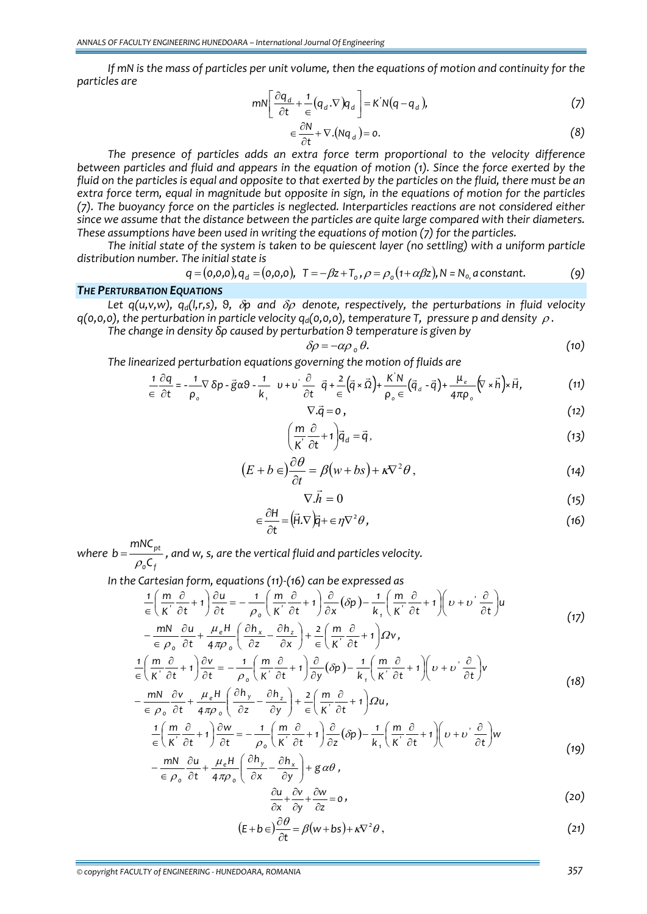If mN is the mass of particles per unit volume, then the equations of motion and continuity for the *particles are*

$$
mN\left[\frac{\partial q_d}{\partial t} + \frac{1}{\epsilon}(q_d \cdot \nabla)q_d\right] = K'N(q - q_d),\tag{7}
$$

$$
\in \frac{\partial N}{\partial t} + \nabla . (Nq_d) = 0. \tag{8}
$$

*The presence of particles adds an extra force term proportional to the velocity difference* between particles and fluid and appears in the equation of motion (1). Since the force exerted by the fluid on the particles is equal and opposite to that exerted by the particles on the fluid, there must be an extra force term, equal in magnitude but opposite in sign, in the equations of motion for the particles *(7). The buoyancy force on the particles is neglected. Interparticles reactions are not considered either since we assume that the distance between the particles are quite large compared with their diameters. These assumptions have been used in writing the equations of motion (7) for the particles.*

The initial state of the system is taken to be quiescent laver (no settling) with a uniform particle *distribution number. The initial state is* 

$$
q = (0,0,0), q_d = (0,0,0), T = -\beta z + T_o, \rho = \rho_o (1 + \alpha \beta z), N = N_o, a constant.
$$
 (9)

## *THE PERTURBATION EQUATIONS*

*Let q*(*u,v,w*), *q<sub>d</sub>*(*l,r,s*), *θ, δp and δρ denote, respectively, the perturbations in fluid velocity*  $q(0,0,0)$ , the perturbation in particle velocity  $q_d(0,0,0)$ , temperature *T*, pressure *p* and density  $\rho$ .

*The change in density δρ caused by perturbation θ temperature is given by*

$$
\delta \rho = -\alpha \rho_0 \, \theta. \tag{10}
$$

*The linearized perturbation equations governing the motion of fluids are* 

$$
\frac{1}{\epsilon} \frac{\partial q}{\partial t} = -\frac{1}{\rho_o} \nabla \delta p - \vec{g} \alpha \theta - \frac{1}{k_1} \quad v + v' \frac{\partial}{\partial t} \quad \vec{q} + \frac{2}{\epsilon} (\vec{q} \times \vec{\Omega}) + \frac{K' N}{\rho_o \epsilon} (\vec{q}_d - \vec{q}) + \frac{\mu_e}{4 \pi \rho_o} (\nabla \times \vec{h}) \times \vec{H}, \tag{11}
$$

$$
\nabla \cdot \vec{q} = 0 \tag{12}
$$

$$
\left(\frac{m}{K^{'}}\frac{\partial}{\partial t} + 1\right)\vec{q}_d = \vec{q},\qquad(13)
$$

$$
(E + b \in \frac{\partial \theta}{\partial t} = \beta (w + bs) + \kappa \nabla^2 \theta, \qquad (14)
$$

$$
\nabla \cdot \vec{h} = 0 \tag{15}
$$

$$
\in \frac{\partial H}{\partial t} = (\vec{H}.\nabla)\vec{q} + \in \eta \nabla^2 \theta, \qquad (16)
$$

*where 0 f pt C mNC*  $b = \frac{m \cdot \epsilon_{pt}}{\rho_{o} C_{f}}$ , and w, s, are the vertical fluid and particles velocity.

*In the Cartesian form, equations (11)‐(16) can be expressed as* 

$$
\frac{1}{\epsilon} \left( \frac{m}{K'} \frac{\partial}{\partial t} + 1 \right) \frac{\partial u}{\partial t} = -\frac{1}{\rho_o} \left( \frac{m}{K'} \frac{\partial}{\partial t} + 1 \right) \frac{\partial}{\partial x} (\delta p) - \frac{1}{k_1} \left( \frac{m}{K'} \frac{\partial}{\partial t} + 1 \right) \left( \nu + \nu' \frac{\partial}{\partial t} \right) u
$$
\n
$$
- \frac{mN}{\epsilon} \frac{\partial u}{\rho_o} + \frac{\mu_e H}{4 \pi \rho_o} \left( \frac{\partial h_x}{\partial z} - \frac{\partial h_z}{\partial x} \right) + \frac{2}{\epsilon} \left( \frac{m}{K'} \frac{\partial}{\partial t} + 1 \right) \Omega v,
$$
\n(17)

$$
\in \rho_o \quad \partial t \quad 4\pi \rho_o \quad (\partial z \quad \partial x) \quad \in (\mathcal{K'} \quad \partial t \quad )^{-1},
$$
\n
$$
\frac{1}{\epsilon} \left( \frac{m}{\mathcal{K'}} \frac{\partial}{\partial t} + 1 \right) \frac{\partial v}{\partial t} = -\frac{1}{\rho_o} \left( \frac{m}{\mathcal{K'}} \frac{\partial}{\partial t} + 1 \right) \frac{\partial}{\partial y} (\partial p) - \frac{1}{\mathcal{K}_1} \left( \frac{m}{\mathcal{K'}} \frac{\partial}{\partial t} + 1 \right) \left( v + v' \frac{\partial}{\partial t} \right) v \tag{18}
$$

$$
-\frac{mN}{\epsilon \rho_{o}} \frac{\partial v}{\partial t} + \frac{\mu_{e}H}{4\pi \rho_{o}} \left( \frac{\partial h_{y}}{\partial z} - \frac{\partial h_{z}}{\partial y} \right) + \frac{2}{\epsilon} \left( \frac{m}{K} \frac{\partial}{\partial t} + 1 \right) \Omega u,
$$
  

$$
\frac{1}{\epsilon} \left( \frac{m}{K} \frac{\partial}{\partial t} + 1 \right) \frac{\partial w}{\partial t} = -\frac{1}{\rho_{o}} \left( \frac{m}{K} \frac{\partial}{\partial t} + 1 \right) \frac{\partial}{\partial z} (\delta p) - \frac{1}{k_{1}} \left( \frac{m}{K} \frac{\partial}{\partial t} + 1 \right) \left( v + v \frac{\partial}{\partial t} \right) w
$$
(19)

$$
-\frac{mN}{\epsilon \rho_o} \frac{\partial u}{\partial t} + \frac{\mu_e H}{4\pi \rho_o} \left( \frac{\partial h_y}{\partial x} - \frac{\partial h_x}{\partial y} \right) + g \alpha \theta,
$$
\n
$$
\frac{\partial u}{\partial x} + \frac{\partial v}{\partial y} + \frac{\partial w}{\partial z} = 0,
$$
\n(20)

$$
\frac{1}{\partial x} + \frac{1}{\partial y} + \frac{1}{\partial z} = 0,
$$
\n
$$
\frac{\partial \theta}{\partial y} = 0,
$$
\n
$$
\frac{\partial \theta}{\partial z} = 0,
$$
\n
$$
\frac{\partial \theta}{\partial z} = 0,
$$
\n
$$
\frac{\partial \theta}{\partial z} = 0,
$$

$$
(E + b \epsilon) \frac{\partial \theta}{\partial t} = \beta (w + bs) + \kappa \nabla^2 \theta , \qquad (21)
$$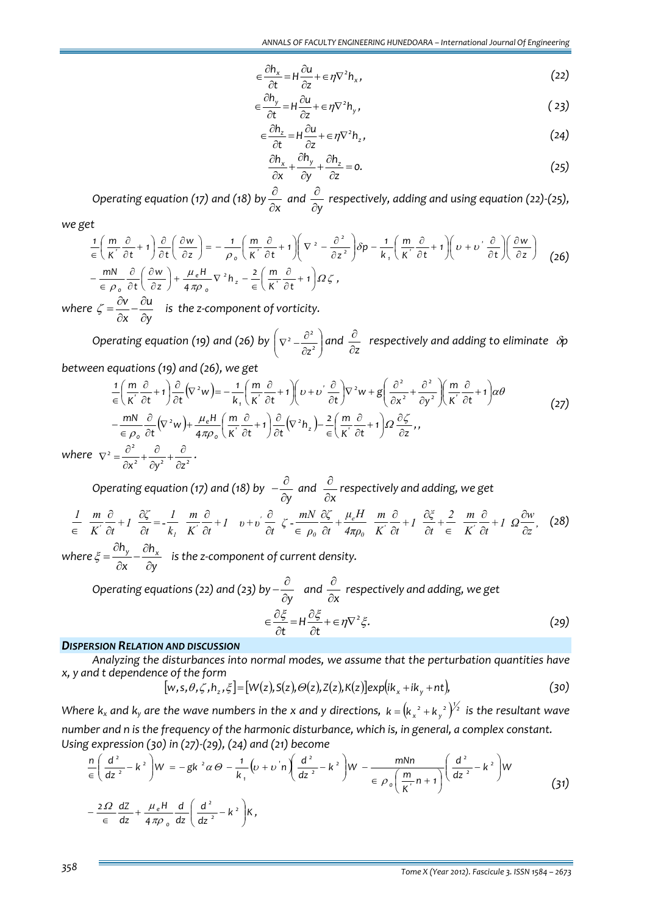$$
\in \frac{\partial h_x}{\partial t} = H \frac{\partial u}{\partial z} + \in \eta \nabla^2 h_x,
$$
\n(22)

$$
\epsilon \frac{\partial h_y}{\partial t} = H \frac{\partial u}{\partial z} + \epsilon \eta \nabla^2 h_y, \qquad (23)
$$

$$
\in \frac{\partial h_z}{\partial t} = H \frac{\partial u}{\partial z} + \in \eta \nabla^2 h_z,
$$
\n(24)

$$
\frac{\partial h_x}{\partial x} + \frac{\partial h_y}{\partial y} + \frac{\partial h_z}{\partial z} = 0.
$$
 (25)

*Operating equation (17) and (18) by* <sup>∂</sup>*<sup>x</sup>* <sup>∂</sup> *and* ∂*y* <sup>∂</sup> *respectively, adding and using equation (22)‐(25),*

*we get*

$$
\frac{1}{\epsilon} \left( \frac{m}{K'} \frac{\partial}{\partial t} + 1 \right) \frac{\partial}{\partial t} \left( \frac{\partial w}{\partial z} \right) = -\frac{1}{\rho_o} \left( \frac{m}{K'} \frac{\partial}{\partial t} + 1 \right) \left( \nabla^2 - \frac{\partial^2}{\partial z^2} \right) \delta p - \frac{1}{k_1} \left( \frac{m}{K'} \frac{\partial}{\partial t} + 1 \right) \left( \nu + \nu' \frac{\partial}{\partial t} \right) \left( \frac{\partial w}{\partial z} \right) \tag{26}
$$
\n
$$
- \frac{m}{\epsilon} \frac{\partial}{\rho_o} \frac{\partial}{\partial t} \left( \frac{\partial w}{\partial z} \right) + \frac{\mu_e H}{4 \pi \rho_o} \nabla^2 h_z - \frac{2}{\epsilon} \left( \frac{m}{K'} \frac{\partial}{\partial t} + 1 \right) \Omega \zeta,
$$

*where y u x v*  $\zeta = \frac{\partial v}{\partial x} - \frac{\partial u}{\partial y}$  is the *z*-component of vorticity.

*Operating equation (19) and (26) by*  $\sqrt{v^2 - \frac{U}{\hat{\sigma}^2}}$ ⎠ ⎞  $\parallel$ ⎝ ⎛  $\nabla^2 - \frac{\partial^2}{\partial z^2}$ *z and* ∂*z* <sup>∂</sup>  *respectively and adding to eliminate*  <sup>δ</sup>*<sup>p</sup>* 

*between equations (19) and (26), we get*

$$
\frac{1}{\epsilon} \left( \frac{m}{K'} \frac{\partial}{\partial t} + 1 \right) \frac{\partial}{\partial t} \left( \nabla^2 w \right) = -\frac{1}{k_1} \left( \frac{m}{K'} \frac{\partial}{\partial t} + 1 \right) \left( \nu + \nu' \frac{\partial}{\partial t} \right) \nabla^2 w + g \left( \frac{\partial^2}{\partial x^2} + \frac{\partial^2}{\partial y^2} \right) \left( \frac{m}{K'} \frac{\partial}{\partial t} + 1 \right) \alpha \theta
$$
\n
$$
- \frac{m}{\epsilon} \frac{\partial}{\rho_o} \frac{\partial}{\partial t} \left( \nabla^2 w \right) + \frac{\mu_e H}{4 \pi \rho_o} \left( \frac{m}{K'} \frac{\partial}{\partial t} + 1 \right) \frac{\partial}{\partial t} \left( \nabla^2 h_z \right) - \frac{2}{\epsilon} \left( \frac{m}{K'} \frac{\partial}{\partial t} + 1 \right) \Omega \frac{\partial \zeta}{\partial z},
$$
\n
$$
\nabla^2 = \frac{\partial^2}{\partial x^2} + \frac{\partial}{\partial x^2} + \frac{\partial}{\partial x^2}.
$$
\n(27)

*where <sup>2</sup> <sup>2</sup> <sup>2</sup>* ∂x<sup>2</sup> ∂y<sup>2</sup> ∂z

> *Operating equation (17) and (18) by*  $-\frac{\partial}{\partial y}$  *and* ∂*x* <sup>∂</sup> *respectively and adding, we get*

$$
\frac{1}{\epsilon} \frac{m}{K} \frac{\partial}{\partial t} + I \frac{\partial \zeta}{\partial t} = -\frac{I}{k_1} \frac{m}{K} \frac{\partial}{\partial t} + I \quad v + v \frac{\partial}{\partial t} \zeta - \frac{mN}{\epsilon} \frac{\partial \zeta}{\partial t} + \frac{\mu_e H}{4\pi \rho_0} \frac{m}{K} \frac{\partial}{\partial t} + I \frac{\partial \zeta}{\partial t} + \frac{2}{\epsilon} \frac{m}{K} \frac{\partial}{\partial t} + I \Omega \frac{\partial w}{\partial z}, \quad (28)
$$

*where y h x*  $\frac{dh_y}{dt} - \frac{\partial h_x}{dt}$  $\frac{\partial h_y}{\partial x} - \frac{\partial h_z}{\partial y}$  $\xi = \frac{y}{2} - \frac{y}{2}$  is the z-component of current density.

> *Operating equations (22) and (23) by* <sup>∂</sup>*<sup>y</sup>* <sup>∂</sup> <sup>−</sup>  *and* ∂*x* <sup>∂</sup> *respectively and adding, we get*  $H \frac{\partial S}{\partial t} + \epsilon \eta \nabla^2 \xi$ . *t*  $\frac{\partial \xi}{\partial x} = H \frac{\partial \xi}{\partial y} + \epsilon \eta \nabla^2 \xi.$  $\epsilon \frac{\partial \xi}{\partial t} = H \frac{\partial \xi}{\partial t} + \epsilon \eta \nabla^2 \xi.$  (29)

#### *DISPERSION RELATION AND DISCUSSION*

*Analyzing the disturbances into normal modes, we assume that the perturbation quantities have x, y and t dependence of the form* 

$$
[w,s,\theta,\zeta,h_z,\xi] = [W(z),S(z),\Theta(z),Z(z),K(z)]\exp(ik_x+ik_y+nt),\tag{30}
$$

Where  $k_x$  and  $k_y$  are the wave numbers in the x and y directions,  $k=[k_x{}^2+k_y{}^2\,V^2$  is the resultant wave *number and n is the frequency of the harmonic disturbance, which is, in general, a complex constant. Using expression (30) in (27)‐(29), (24) and (21) become*

$$
\frac{n}{\epsilon} \left( \frac{d^2}{dz^2} - k^2 \right) W = -g k^2 \alpha \Theta - \frac{1}{k_1} \left( \nu + \nu' n \right) \left( \frac{d^2}{dz^2} - k^2 \right) W - \frac{m N n}{\epsilon \rho_0 \left( \frac{m}{K} n + 1 \right)} \left( \frac{d^2}{dz^2} - k^2 \right) W
$$
\n
$$
- \frac{2 \Omega}{\epsilon} \frac{dZ}{dz} + \frac{\mu_e H}{4 \pi \rho_0} \frac{d}{dz} \left( \frac{d^2}{dz^2} - k^2 \right) K,
$$
\n(31)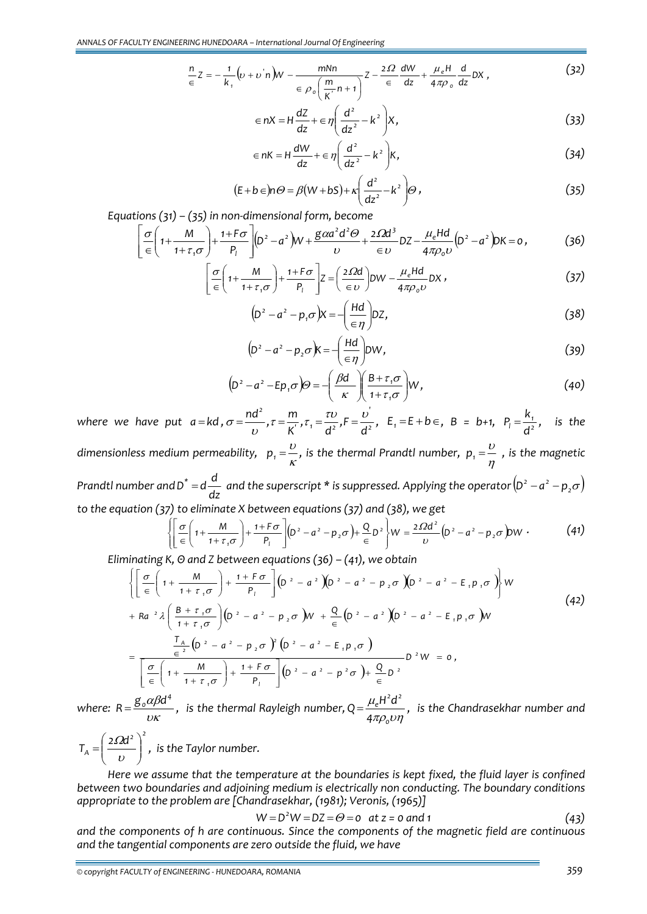$$
\frac{n}{\epsilon}Z = -\frac{1}{k_1}\left(\nu + \nu' n\right)W - \frac{mNn}{\epsilon \rho_0 \left(\frac{m}{K}n + 1\right)}Z - \frac{2\Omega}{\epsilon} \frac{dW}{dz} + \frac{\mu_e H}{4\pi \rho_0} \frac{d}{dz}DX\,,\tag{32}
$$

$$
\epsilon nX = H\frac{dz}{dz} + \epsilon \eta \left(\frac{d^2}{dz^2} - k^2\right) X,
$$
\n(33)

$$
\epsilon nK = H\frac{dW}{dz} + \epsilon \eta \left(\frac{d^2}{dz^2} - k^2\right)K,
$$
\n(34)

$$
(E+b\epsilon)n\Theta = \beta(W+bS) + \kappa \left(\frac{d^2}{dz^2} - k^2\right)\Theta,
$$
\n(35)

*Equations (31) – (35) in non‐dimensional form, become*

$$
\left[\frac{\sigma}{\epsilon}\left(1+\frac{M}{1+\tau_{1}\sigma}\right)+\frac{1+F\sigma}{P_{1}}\right](D^{2}-a^{2})W+\frac{g\alpha a^{2}d^{2}\Theta}{\upsilon}+\frac{2\Omega d^{3}}{\epsilon\upsilon}DZ-\frac{\mu_{e}Hd}{4\pi\rho_{o}\upsilon}(D^{2}-a^{2})DK=0, \tag{36}
$$

$$
\left[\frac{\sigma}{\epsilon}\left(1+\frac{M}{1+\tau_{1}\sigma}\right)+\frac{1+\Gamma\sigma}{P_{l}}\right]Z=\left(\frac{2\Omega d}{\epsilon v}\right)DW-\frac{\mu_{e}Hd}{4\pi\rho_{o}v}DX,
$$
\n(37)

$$
\left(D^2 - a^2 - p_1 \sigma\right)X = -\left(\frac{Hd}{\epsilon \eta}\right)DZ,\tag{38}
$$

$$
\left(D^2 - a^2 - p_2 \sigma\right)K = -\left(\frac{Hd}{\epsilon \eta}\right)DW,
$$
\n(39)

$$
\left(D^2 - a^2 - Ep_1\sigma\right)\Theta = -\left(\frac{\beta d}{\kappa}\right)\left(\frac{B + \tau_1\sigma}{1 + \tau_1\sigma}\right)W,\tag{40}
$$

*where we* have put  $a = kd$ ,  $\sigma = \frac{nd^2}{k}$ ,  $\tau = \frac{m}{k'}$ ,  $\tau_1 = \frac{\tau v}{d^2}$ ,  $F = \frac{v^2}{d^2}$  $\frac{1}{2}$   $\frac{1}{2}$   $\frac{1}{2}$ *2*  $\frac{nd^2}{\nu}$ ,  $\tau = \frac{m}{K'}$ ,  $\tau_1 = \frac{\tau \nu}{d^2}$ ,  $F = \frac{\nu}{d}$  $\sigma = \frac{H}{v}, \tau = \frac{H}{K}, \tau_1 = \frac{U}{d^2}, F = \frac{U}{d^2}, E_1 = E + b \in, B = b + 1, P_1 = \frac{R_1}{d^2}$  $P_{\parallel} = \frac{k_1}{l^2}$ , is the *dimensionless medium permeability,*  $p_1 = \frac{c}{K}$  $p_{1} = \frac{\upsilon}{\kappa}$ , is the thermal Prandtl number,  $p_{1} = \frac{\upsilon}{\eta}$  $p_{1} = \frac{\upsilon}{n}$  , is the magnetic *Prandtl number and*  $D^* = d \frac{d}{dz}$  and the superscript \* is suppressed. Applying the operator  $(D^2 - a^2 - p_2 \sigma)$ *to the equation (37) to eliminate X between equations (37) and (38), we get*  $\int \left[ \sigma \begin{pmatrix} 0 & \mathbf{M} \\ \mathbf{M} \end{pmatrix} \right]_{1}^{\mathsf{I}} + \left[ \sigma \right]_{\left[ \mathsf{D}^{2} \right]} \left[ \begin{pmatrix} 2 & \mathbf{M} \\ \mathbf{M} \end{pmatrix} \right]_{2}^{\mathsf{I}} \left[ \begin{pmatrix} 2 & \mathbf{M} \\ \mathbf{M} \end{pmatrix} \right]_{2}^{\mathsf{I}} \left[ \begin{pmatrix} 2 & \mathbf{M} \\ \mathbf{M} \end{pmatrix} \right]_{2}^{\mathsf{I}}$ Ω

$$
\left\{\left[\frac{\sigma}{\epsilon}\left(1+\frac{M}{1+\tau_{1}\sigma}\right)+\frac{1+F\sigma}{P_{1}}\right](D^{2}-a^{2}-p_{2}\sigma)+\frac{Q}{\epsilon}D^{2}\right\}W=\frac{2\Omega d^{2}}{\upsilon}\left(D^{2}-a^{2}-p_{2}\sigma\right)DW.
$$
\n(41)

*Eliminating K, Θ and Z between equations (36) – (41), we obtain*

$$
\left\{\left[\frac{\sigma}{e}\left(1+\frac{M}{1+\tau_{1}\sigma}\right)+\frac{1+F\sigma}{P_{1}}\right](D^{2}-a^{2})\left(D^{2}-a^{2}-P_{2}\sigma\right)(D^{2}-a^{2}-E_{1}p_{1}\sigma)\right\}W
$$
\n
$$
+Ra^{2}\lambda\left(\frac{B+\tau_{1}\sigma}{1+\tau_{1}\sigma}\right)(D^{2}-a^{2}-P_{2}\sigma)W + \frac{Q}{e}(D^{2}-a^{2})\left(D^{2}-a^{2}-E_{1}p_{1}\sigma\right)W
$$
\n
$$
=\frac{\frac{T_{A}}{e^{2}}(D^{2}-a^{2}-p_{2}\sigma)^{2}(D^{2}-a^{2}-E_{1}p_{1}\sigma)}{\left[\frac{\sigma}{e}\left(1+\frac{M}{1+\tau_{1}\sigma}\right)+\frac{1+F\sigma}{P_{1}}\right](D^{2}-a^{2}-p^{2}\sigma)+\frac{Q}{e}D^{2}}D^{2}W=0,
$$
\n
$$
=C\frac{\sigma}{e^{2}}(d^{4})
$$
\n
$$
=C\frac{\sigma}{e^{2}}(d^{4})
$$
\n
$$
=C\frac{\sigma}{e^{2}}(d^{4})
$$
\n
$$
=C\frac{\sigma}{e^{2}}(d^{4})
$$
\n
$$
=C\frac{\sigma}{e^{2}}(d^{4})
$$
\n
$$
=C\frac{\sigma}{e^{2}}(d^{4})
$$
\n
$$
=C\frac{\sigma}{e^{2}}(d^{4})
$$
\n
$$
=C\frac{\sigma}{e^{2}}(d^{4})
$$
\n
$$
=C\frac{\sigma}{e^{2}}(d^{4})
$$
\n
$$
=C\frac{\sigma}{e^{2}}(d^{4})
$$
\n
$$
=C\frac{\sigma}{e^{2}}(d^{4})
$$
\n
$$
=C\frac{\sigma}{e^{2}}(d^{4})
$$
\n
$$
=C\frac{\sigma}{e^{2}}(d^{4})
$$
\n
$$
=C\frac{\sigma}{e^{2}}(d^{4})
$$
\n
$$
=C\frac{\sigma}{e^{2}}(d^{4})
$$
\n
$$
=C\frac{\sigma}{e^{2}}(d^{4})
$$
\n
$$
=C\frac{\sigma}{e^{2}}(d^{4
$$

*where:*  $R = \frac{g_0 \alpha \beta d^4}{\nu \kappa}$ , is the thermal Rayleigh number,  $Q = \frac{\mu_e H^2 d^2}{4 \pi \rho_0 \nu \eta}$ μ *0*  $\frac{1}{2}H^2d^2$ *4*  $Q = \frac{\mu_e H^2 d^2}{2}$ , is the Chandrasekhar number and

*<sup>2</sup> <sup>2</sup>*  $T_A = \left(\frac{2\Omega d^2}{D}\right)^2$ ⎠ ⎞  $\parallel$ ⎝  $=\left(\frac{2\Omega d^2}{\nu}\right)^2$ , is the Taylor number.

*Here we assume that the temperature at the boundaries is kept fixed, the fluid layer is confined between two boundaries and adjoining medium is electrically non conducting. The boundary conditions appropriate to the problem are [Chandrasekhar, (1981); Veronis, (1965)]*

$$
W = D2W = DZ = \Theta = 0 \text{ at } z = 0 \text{ and } 1
$$
 (43)

*and the components of h are continuous. Since the components of the magnetic field are continuous and the tangential components are zero outside the fluid, we have*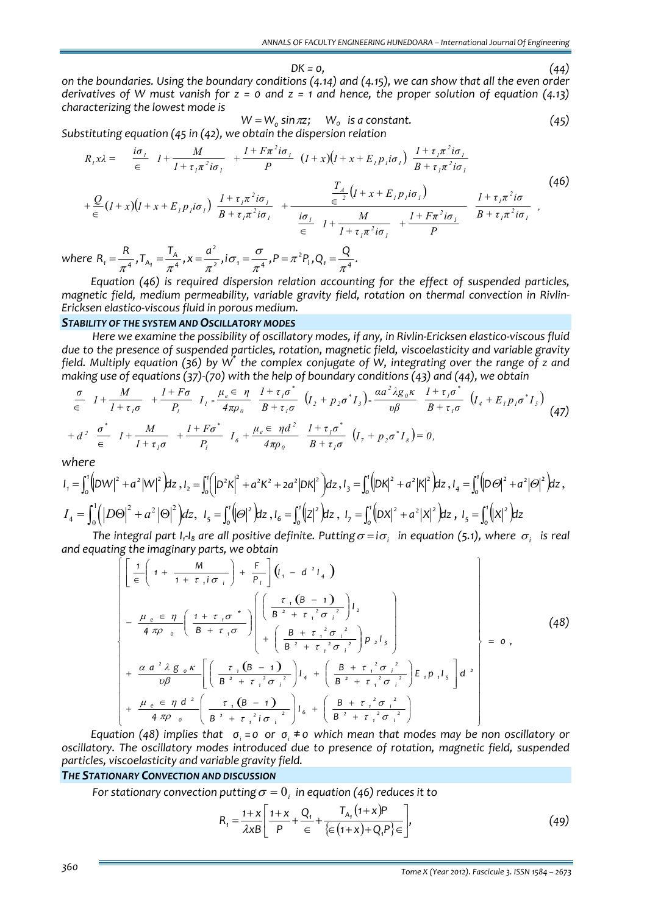$DK = 0,$  (44) on the boundaries. Using the boundary conditions (4.14) and (4.15), we can show that all the even order derivatives of W must vanish for  $z = 0$  and  $z = 1$  and hence, the proper solution of equation (4.13) *characterizing the lowest mode is*

$$
W = W_0 \sin \pi z; \quad W_0 \text{ is a constant.} \tag{45}
$$

*Substituting equation (45 in (42), we obtain the dispersion relation*

$$
R_{\scriptscriptstyle{J}}x\lambda = \frac{i\sigma_{\scriptscriptstyle{J}}}{\epsilon} I + \frac{M}{I + \tau_{\scriptscriptstyle{I}}\pi^2 i\sigma_{\scriptscriptstyle{I}}} + \frac{I + F\pi^2 i\sigma_{\scriptscriptstyle{I}}}{P} (I + x)(I + x + E_{\scriptscriptstyle{I}}p_{\scriptscriptstyle{I}} i\sigma_{\scriptscriptstyle{I}}) \frac{I + \tau_{\scriptscriptstyle{I}}\pi^2 i\sigma_{\scriptscriptstyle{I}}}{B + \tau_{\scriptscriptstyle{I}}\pi^2 i\sigma_{\scriptscriptstyle{I}}} + \frac{Q}{\epsilon} (I + x)(I + x + E_{\scriptscriptstyle{I}}p_{\scriptscriptstyle{I}} i\sigma_{\scriptscriptstyle{I}}) \frac{I + \tau_{\scriptscriptstyle{I}}\pi^2 i\sigma_{\scriptscriptstyle{I}}}{B + \tau_{\scriptscriptstyle{I}}\pi^2 i\sigma_{\scriptscriptstyle{I}}} + \frac{\frac{T_{\scriptscriptstyle{A}}}{\epsilon^2} (I + x + E_{\scriptscriptstyle{I}}p_{\scriptscriptstyle{I}} i\sigma_{\scriptscriptstyle{I}})}{\frac{i\sigma_{\scriptscriptstyle{I}}}{\epsilon} I + \frac{M}{I + \tau_{\scriptscriptstyle{I}}\pi^2 i\sigma_{\scriptscriptstyle{I}}} + \frac{I + F\pi^2 i\sigma_{\scriptscriptstyle{I}}}{P} \frac{I + \tau_{\scriptscriptstyle{I}}\pi^2 i\sigma_{\scriptscriptstyle{I}}}{B + \tau_{\scriptscriptstyle{I}}\pi^2 i\sigma_{\scriptscriptstyle{I}}},
$$
\n(46)

where  $R_1 = \frac{R}{\pi^4}$ ,  $T_{A_1} = \frac{T_A}{\pi^4}$ ,  $x = \frac{a^2}{\pi^2}$ ,  $i\sigma_1 = \frac{\sigma}{\pi^4}$ ,  $P = \pi^2 P_1$ ,  $Q_1 = \frac{Q}{\pi^4}$ . *2 4*  $A_1 = \frac{A}{\pi^4}$ ,  $T_{A_1} = \frac{A}{\pi^4}$ ,  $x = \frac{a}{\pi^2}$ ,  $i\sigma_1 = \frac{b}{\pi^4}$ ,  $P = \pi^2 P_1$ ,  $Q_1 = \frac{b}{\pi}$ π  $=\frac{R}{\pi^4}$ ,  $T_{A_1} = \frac{I_A}{\pi^4}$ ,  $x = \frac{a^2}{\pi^2}$ ,  $i\sigma_1 = \frac{\sigma}{\pi^4}$ ,  $P = \pi^2 P_1$ ,  $Q_1 = \frac{Q}{\pi^4}$ .

*Equation (46) is required dispersion relation accounting for the effect of suspended particles, magnetic field, medium permeability, variable gravity field, rotation on thermal convection in Rivlin‐ Ericksen elastico‐viscous fluid in porous medium.*

#### *STABILITY OF THE SYSTEM AND OSCILLATORY MODES*

Here we examine the possibility of oscillatory modes, if any, in Rivlin-Ericksen elastico-viscous fluid *due to the presence of suspended particles, rotation, magnetic field, viscoelasticity and variable gravity* field. Multiply equation (36) by  $W^*$  the complex conjugate of W, integrating over the range of z and *making use of equations (37)‐(70) with the help of boundary conditions (43) and (44), we obtain*

$$
\frac{\sigma}{\epsilon} \quad I + \frac{M}{I + \tau_{I}\sigma} + \frac{I + F\sigma}{P_{I}} \quad I_{I} - \frac{\mu_{e}\epsilon}{4\pi\rho_{0}} \quad \frac{I + \tau_{I}\sigma^{*}}{B + \tau_{I}\sigma} \quad (I_{2} + p_{2}\sigma^{*}I_{3}) - \frac{\alpha a^{2}\lambda g_{0}\kappa}{\nu\beta} \quad \frac{I + \tau_{I}\sigma^{*}}{B + \tau_{I}\sigma} \quad (I_{4} + E_{I}p_{I}\sigma^{*}I_{5})
$$
\n
$$
+ d^{2} \quad \frac{\sigma^{*}}{\epsilon} \quad I + \frac{M}{I + \tau_{I}\sigma} + \frac{I + F\sigma^{*}}{P_{I}} \quad I_{6} + \frac{\mu_{e}\epsilon}{4\pi\rho_{0}} \quad \frac{I + \tau_{I}\sigma^{*}}{B + \tau_{I}\sigma} \quad (I_{7} + p_{2}\sigma^{*}I_{8}) = 0,
$$
\n
$$
(47)
$$

*where*

$$
I_1 = \int_0^1 (|DW|^2 + a^2 |W|^2) dz, I_2 = \int_0^1 (|D^2 K|^2 + a^2 K^2 + 2a^2 |DK|^2) dz, I_3 = \int_0^1 (|DK|^2 + a^2 |K|^2) dz, I_4 = \int_0^1 (|D\Theta|^2 + a^2 |\Theta|^2) dz, I_5 = \int_0^1 (|D\Theta|^2 + a^2 |\Theta|^2) dz, I_6 = \int_0^1 (|Z|^2) dz, I_7 = \int_0^1 (|DX|^2 + a^2 |X|^2) dz, I_5 = \int_0^1 (|X|^2) dz
$$

The integral part I<sub>1</sub>-I<sub>8</sub> are all positive definite. Putting  $\sigma = i\sigma_i$  in equation (5.1), where  $\sigma_i$  is real *and equating the imaginary parts, we obtain*

$$
\begin{bmatrix}\n\left[ \frac{1}{e} \left( 1 + \frac{M}{1 + \tau_{i} i \sigma_{i}} \right) + \frac{F}{P_{i}} \right] \left( I_{i} - d^{2} I_{4} \right) \\
-\frac{\mu_{e} \in \eta}{4 \pi \rho_{o}} \left( \frac{1 + \tau_{i} \sigma^{*}}{B + \tau_{i} \sigma} \right) \left( \frac{\tau_{i} (B - 1)}{B^{2} + \tau_{i}^{2} \sigma_{i}^{2}} \right) I_{2} \\
+\left( \frac{B + \tau_{i}^{2} \sigma_{i}^{2}}{B^{2} + \tau_{i}^{2} \sigma_{i}^{2}} \right) p_{2} I_{3}\n\right) \\
+\frac{\alpha a^{2} \lambda g_{o} \kappa}{\omega \beta} \left[ \left( \frac{\tau_{i} (B - 1)}{B^{2} + \tau_{i}^{2} \sigma_{i}^{2}} \right) I_{4} + \left( \frac{B + \tau_{i}^{2} \sigma_{i}^{2}}{B^{2} + \tau_{i}^{2} \sigma_{i}^{2}} \right) E_{i} p_{i} I_{5} \right] d^{2} \\
+\frac{\mu_{e} \in \eta d^{2}}{4 \pi \rho_{o}} \left( \frac{\tau_{i} (B - 1)}{B^{2} + \tau_{i}^{2} i \sigma_{i}^{2}} \right) I_{6} + \left( \frac{B + \tau_{i}^{2} \sigma_{i}^{2}}{B^{2} + \tau_{i}^{2} \sigma_{i}^{2}} \right)\n\end{bmatrix} \tag{48}
$$

Equation (48) implies that  $\sigma_i = 0$  or  $\sigma_i \neq 0$  which mean that modes may be non oscillatory or *oscillatory. The oscillatory modes introduced due to presence of rotation, magnetic field, suspended particles, viscoelasticity and variable gravity field.*

#### *THE STATIONARY CONVECTION AND DISCUSSION*

*For stationary convection putting*  $\sigma = 0$ *; in equation* (46) *reduces it to* 

$$
R_{1} = \frac{1 + x}{\lambda x B} \left[ \frac{1 + x}{P} + \frac{Q_{1}}{\epsilon} + \frac{T_{A_{1}}(1 + x)P}{\{\epsilon(1 + x) + Q_{1}P\} \epsilon} \right],
$$
(49)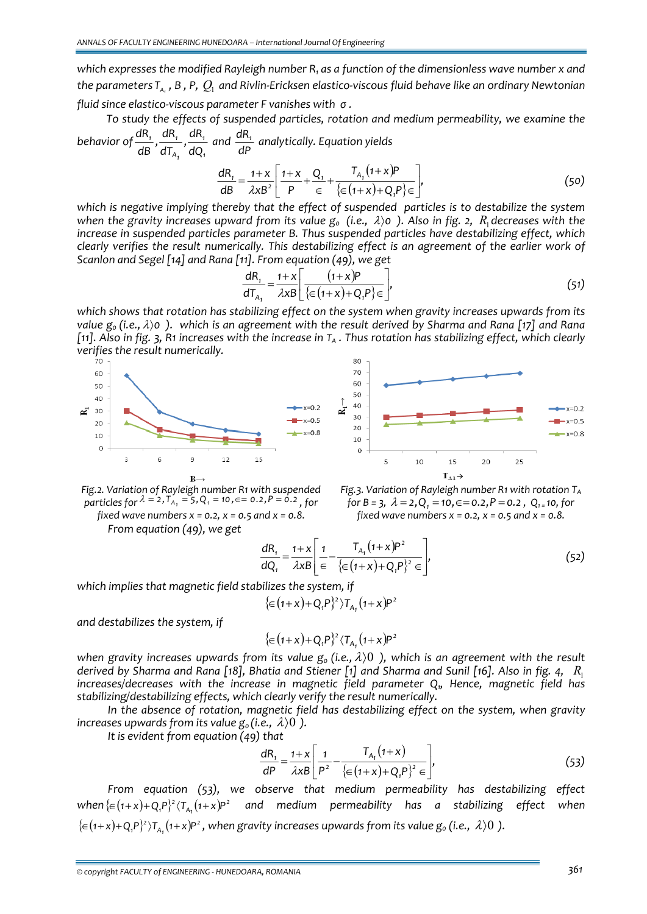*which expresses the modified Rayleigh number R1 as a function of the dimensionless wave number x and* the parameters  $T_a$ , B, P,  $Q_i$  and Rivlin-Ericksen elastico-viscous fluid behave like an ordinary Newtonian

*fluid since elastico‐viscous parameter F vanishes with σ .*

*To study the effects of suspended particles, rotation and medium permeability, we examine the behavior of 1 1 A1*  $\frac{1}{1}$   $\frac{u_1 v_1}{2}$ *dQ*  $\frac{dR_1}{dB}$ ,  $\frac{dR_1}{dT_{A_1}}$ ,  $\frac{dR_1}{dQ_1}$  and *dP dR1 analytically. Equation yields*

$$
\frac{dR_1}{dB} = \frac{1+x}{\lambda x B^2} \left[ \frac{1+x}{P} + \frac{Q_1}{\epsilon} + \frac{T_{A_1}(1+x)P}{\{\epsilon(1+x) + Q_1 P\} \epsilon} \right],
$$
(50)

*which is negative implying thereby that the effect of suspended particles is to destabilize the system* when the gravity increases upward from its value  $g_0$  (i.e.,  $\lambda$ )0). Also in fig. 2,  $R_i$  decreases with the *increase in suspended particles parameter B. Thus suspended particles have destabilizing effect, which clearly verifies the result numerically. This destabilizing effect is an agreement of the earlier work of Scanlon and Segel [14] and Rana [11]. From equation (49), we get*

$$
\frac{dR_1}{dT_{A_1}} = \frac{1+x}{\lambda xB} \left[ \frac{(1+x)P}{\left\{ \in (1+x) + Q_1 P \right\} \in} \right],
$$
\n(51)

*which shows that rotation has stabilizing effect on the system when gravity increases upwards from its* value  $g_0$  (i.e.,  $\lambda$ )0). which is an agreement with the result derived by Sharma and Rana [17] and Rana [11]. Also in fig. 3, R1 increases with the increase in  $T_A$ . Thus rotation has stabilizing effect, which clearly *verifies the result numerically.*





*Fig.2. Variation of Rayleigh number R1 with suspended*  $\frac{1}{2}$  *particles* for  $\lambda = 2$ ,  $T_{A_1} = 5$ ,  $Q_1 = 10$ ,  $\epsilon = 0.2$ ,  $P = 0.2$ , for *fixed wave numbers x = 0.2, x = 0.5 and x = 0.8.*

*From equation (49), we get*

*Fig.3. Variation of Rayleigh number R1 with rotation TA f* or  $B = 3$ ,  $\lambda = 2$ ,  $Q_1 = 10$ ,  $\epsilon = 0.2$ ,  $P = 0.2$ ,  $Q_1 = 10$ , for *fixed wave numbers x = 0.2, x = 0.5 and x = 0.8.*

$$
\frac{dR_1}{dQ_1} = \frac{1+x}{\lambda x B} \left[ \frac{1}{\epsilon} - \frac{T_{A_1}(1+x)P^2}{\{\epsilon (1+x) + Q_1 P\}^2 \epsilon} \right],
$$
\n(52)

*which implies that magnetic field stabilizes the system, if*

$$
\{ \in (1+x) + Q_1 P \}^2 \, \rangle T_{A_1} (1+x) P^2
$$

*and destabilizes the system, if*

$$
\{ \in (1+x) + Q_1 P \}^2 \langle T_{A_1} (1+x) P^2
$$

*when* gravity increases upwards from its value  $g_0$  (i.e.,  $\lambda$ )0 ), which is an agreement with the result derived by Sharma and Rana [18], Bhatia and Stiener [1] and Sharma and Sunil [16]. Also in fig. 4,  $R_1$ *increases/decreases with the increase in magnetic field parameter Q1, Hence, magnetic field has stabilizing/destabilizing effects, which clearly verify the result numerically.*

*In the absence of rotation, magnetic field has destabilizing effect on the system, when gravity increases upwards from its value*  $g_0$  *(i.e.,*  $\lambda$ )0 *).* 

*It is evident from equation (49) that*

$$
\frac{dR_1}{dP} = \frac{1+x}{\lambda xB} \left[ \frac{1}{P^2} - \frac{T_{A_1}(1+x)}{\left\{ \in (1+x) + Q_1 P \right\}^2 \in} \right],
$$
\n(53)

*From equation (53), we observe that medium permeability has destabilizing effect* when  $\{ \in (1+x)+Q_iP \}^2$   $\langle T_{A_i}(1+x)P^2 \quad$  and medium permeability has a stabilizing effect when  $\{ \in (1+x)+Q_iP_j^2 \}T_{A_1}(1+x)P^2$ , when gravity increases upwards from its value  $g_0$  (i.e.,  $\lambda$ ) ().